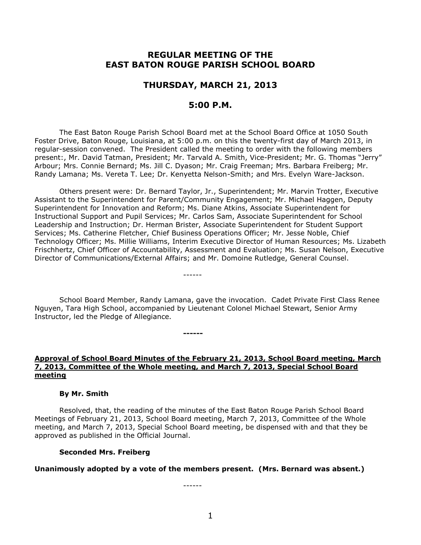# **REGULAR MEETING OF THE EAST BATON ROUGE PARISH SCHOOL BOARD**

# **THURSDAY, MARCH 21, 2013**

# **5:00 P.M.**

The East Baton Rouge Parish School Board met at the School Board Office at 1050 South Foster Drive, Baton Rouge, Louisiana, at 5:00 p.m. on this the twenty-first day of March 2013, in regular-session convened. The President called the meeting to order with the following members present:, Mr. David Tatman, President; Mr. Tarvald A. Smith, Vice-President; Mr. G. Thomas "Jerry" Arbour; Mrs. Connie Bernard; Ms. Jill C. Dyason; Mr. Craig Freeman; Mrs. Barbara Freiberg; Mr. Randy Lamana; Ms. Vereta T. Lee; Dr. Kenyetta Nelson-Smith; and Mrs. Evelyn Ware-Jackson.

Others present were: Dr. Bernard Taylor, Jr., Superintendent; Mr. Marvin Trotter, Executive Assistant to the Superintendent for Parent/Community Engagement; Mr. Michael Haggen, Deputy Superintendent for Innovation and Reform; Ms. Diane Atkins, Associate Superintendent for Instructional Support and Pupil Services; Mr. Carlos Sam, Associate Superintendent for School Leadership and Instruction; Dr. Herman Brister, Associate Superintendent for Student Support Services; Ms. Catherine Fletcher, Chief Business Operations Officer; Mr. Jesse Noble, Chief Technology Officer; Ms. Millie Williams, Interim Executive Director of Human Resources; Ms. Lizabeth Frischhertz, Chief Officer of Accountability, Assessment and Evaluation; Ms. Susan Nelson, Executive Director of Communications/External Affairs; and Mr. Domoine Rutledge, General Counsel.

School Board Member, Randy Lamana, gave the invocation. Cadet Private First Class Renee Nguyen, Tara High School, accompanied by Lieutenant Colonel Michael Stewart, Senior Army Instructor, led the Pledge of Allegiance.

------

**------**

## **Approval of School Board Minutes of the February 21, 2013, School Board meeting, March 7, 2013, Committee of the Whole meeting, and March 7, 2013, Special School Board meeting**

### **By Mr. Smith**

Resolved, that, the reading of the minutes of the East Baton Rouge Parish School Board Meetings of February 21, 2013, School Board meeting, March 7, 2013, Committee of the Whole meeting, and March 7, 2013, Special School Board meeting, be dispensed with and that they be approved as published in the Official Journal.

#### **Seconded Mrs. Freiberg**

**Unanimously adopted by a vote of the members present. (Mrs. Bernard was absent.)**

------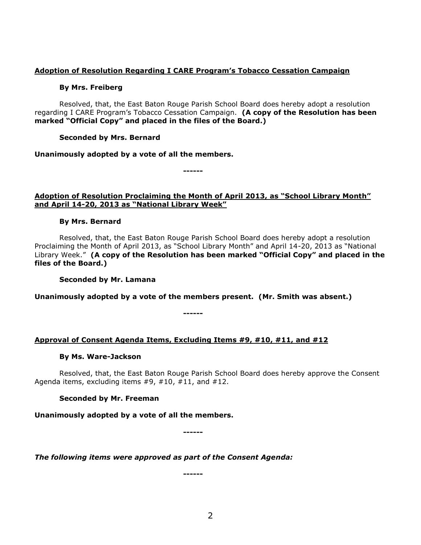## **Adoption of Resolution Regarding I CARE Program's Tobacco Cessation Campaign**

## **By Mrs. Freiberg**

Resolved, that, the East Baton Rouge Parish School Board does hereby adopt a resolution regarding I CARE Program's Tobacco Cessation Campaign. **(A copy of the Resolution has been marked "Official Copy" and placed in the files of the Board.)**

## **Seconded by Mrs. Bernard**

**Unanimously adopted by a vote of all the members.**

**------**

# **Adoption of Resolution Proclaiming the Month of April 2013, as "School Library Month" and April 14-20, 2013 as "National Library Week"**

# **By Mrs. Bernard**

Resolved, that, the East Baton Rouge Parish School Board does hereby adopt a resolution Proclaiming the Month of April 2013, as "School Library Month" and April 14-20, 2013 as "National Library Week." **(A copy of the Resolution has been marked "Official Copy" and placed in the files of the Board.)**

**Seconded by Mr. Lamana**

**Unanimously adopted by a vote of the members present. (Mr. Smith was absent.)**

**------**

# **Approval of Consent Agenda Items, Excluding Items #9, #10, #11, and #12**

## **By Ms. Ware-Jackson**

Resolved, that, the East Baton Rouge Parish School Board does hereby approve the Consent Agenda items, excluding items #9, #10, #11, and #12.

## **Seconded by Mr. Freeman**

**Unanimously adopted by a vote of all the members.**

**------**

*The following items were approved as part of the Consent Agenda:*

**------**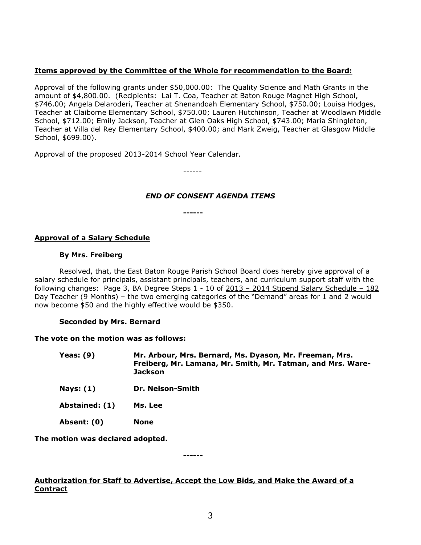# **Items approved by the Committee of the Whole for recommendation to the Board:**

Approval of the following grants under \$50,000.00: The Quality Science and Math Grants in the amount of \$4,800.00. (Recipients: Lai T. Coa, Teacher at Baton Rouge Magnet High School, \$746.00; Angela Delaroderi, Teacher at Shenandoah Elementary School, \$750.00; Louisa Hodges, Teacher at Claiborne Elementary School, \$750.00; Lauren Hutchinson, Teacher at Woodlawn Middle School, \$712.00; Emily Jackson, Teacher at Glen Oaks High School, \$743.00; Maria Shingleton, Teacher at Villa del Rey Elementary School, \$400.00; and Mark Zweig, Teacher at Glasgow Middle School, \$699.00).

Approval of the proposed 2013-2014 School Year Calendar.

------

# *END OF CONSENT AGENDA ITEMS*

**------**

# **Approval of a Salary Schedule**

### **By Mrs. Freiberg**

Resolved, that, the East Baton Rouge Parish School Board does hereby give approval of a salary schedule for principals, assistant principals, teachers, and curriculum support staff with the following changes: Page 3, BA Degree Steps 1 - 10 of 2013 – 2014 Stipend Salary Schedule – 182 Day Teacher (9 Months) – the two emerging categories of the "Demand" areas for 1 and 2 would now become \$50 and the highly effective would be \$350.

## **Seconded by Mrs. Bernard**

## **The vote on the motion was as follows:**

- **Yeas: (9) Mr. Arbour, Mrs. Bernard, Ms. Dyason, Mr. Freeman, Mrs. Freiberg, Mr. Lamana, Mr. Smith, Mr. Tatman, and Mrs. Ware-Jackson**
- **Nays: (1) Dr. Nelson-Smith**
- **Abstained: (1) Ms. Lee**
- **Absent: (0) None**

**The motion was declared adopted.**

**------**

# **Authorization for Staff to Advertise, Accept the Low Bids, and Make the Award of a Contract**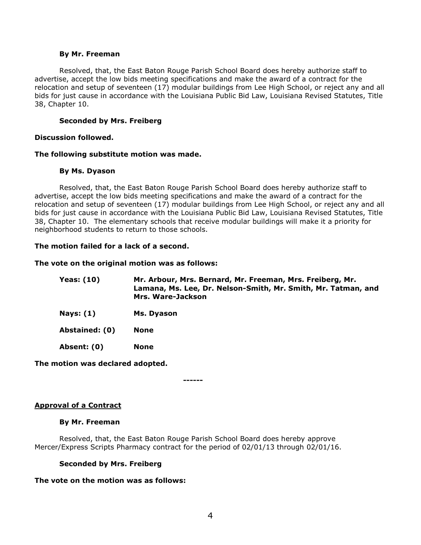#### **By Mr. Freeman**

Resolved, that, the East Baton Rouge Parish School Board does hereby authorize staff to advertise, accept the low bids meeting specifications and make the award of a contract for the relocation and setup of seventeen (17) modular buildings from Lee High School, or reject any and all bids for just cause in accordance with the Louisiana Public Bid Law, Louisiana Revised Statutes, Title 38, Chapter 10.

## **Seconded by Mrs. Freiberg**

### **Discussion followed.**

#### **The following substitute motion was made.**

### **By Ms. Dyason**

Resolved, that, the East Baton Rouge Parish School Board does hereby authorize staff to advertise, accept the low bids meeting specifications and make the award of a contract for the relocation and setup of seventeen (17) modular buildings from Lee High School, or reject any and all bids for just cause in accordance with the Louisiana Public Bid Law, Louisiana Revised Statutes, Title 38, Chapter 10. The elementary schools that receive modular buildings will make it a priority for neighborhood students to return to those schools.

### **The motion failed for a lack of a second.**

### **The vote on the original motion was as follows:**

| <b>Yeas: (10)</b> | Mr. Arbour, Mrs. Bernard, Mr. Freeman, Mrs. Freiberg, Mr.     |
|-------------------|---------------------------------------------------------------|
|                   | Lamana, Ms. Lee, Dr. Nelson-Smith, Mr. Smith, Mr. Tatman, and |
|                   | Mrs. Ware-Jackson                                             |

**Nays: (1) Ms. Dyason**

**Abstained: (0) None**

**Absent: (0) None**

**The motion was declared adopted.**

**------**

## **Approval of a Contract**

#### **By Mr. Freeman**

Resolved, that, the East Baton Rouge Parish School Board does hereby approve Mercer/Express Scripts Pharmacy contract for the period of 02/01/13 through 02/01/16.

#### **Seconded by Mrs. Freiberg**

## **The vote on the motion was as follows:**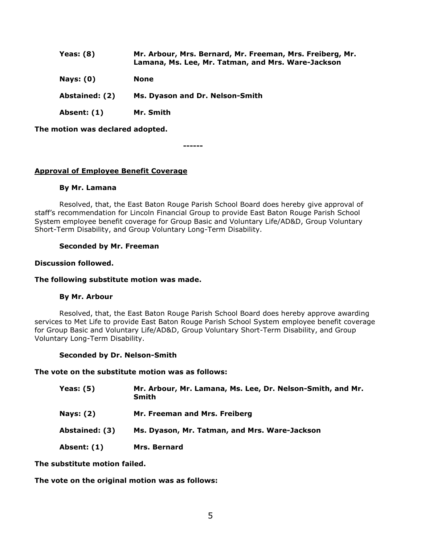| Yeas: $(8)$    | Mr. Arbour, Mrs. Bernard, Mr. Freeman, Mrs. Freiberg, Mr.<br>Lamana, Ms. Lee, Mr. Tatman, and Mrs. Ware-Jackson |
|----------------|-----------------------------------------------------------------------------------------------------------------|
| Nays: $(0)$    | None                                                                                                            |
| Abstained: (2) | Ms. Dyason and Dr. Nelson-Smith                                                                                 |
| Absent: (1)    | Mr. Smith                                                                                                       |

**The motion was declared adopted.**

**------**

# **Approval of Employee Benefit Coverage**

### **By Mr. Lamana**

Resolved, that, the East Baton Rouge Parish School Board does hereby give approval of staff's recommendation for Lincoln Financial Group to provide East Baton Rouge Parish School System employee benefit coverage for Group Basic and Voluntary Life/AD&D, Group Voluntary Short-Term Disability, and Group Voluntary Long-Term Disability.

## **Seconded by Mr. Freeman**

### **Discussion followed.**

### **The following substitute motion was made.**

## **By Mr. Arbour**

Resolved, that, the East Baton Rouge Parish School Board does hereby approve awarding services to Met Life to provide East Baton Rouge Parish School System employee benefit coverage for Group Basic and Voluntary Life/AD&D, Group Voluntary Short-Term Disability, and Group Voluntary Long-Term Disability.

#### **Seconded by Dr. Nelson-Smith**

## **The vote on the substitute motion was as follows:**

| Yeas: $(5)$      | Mr. Arbour, Mr. Lamana, Ms. Lee, Dr. Nelson-Smith, and Mr.<br>Smith |
|------------------|---------------------------------------------------------------------|
| <b>Nays: (2)</b> | Mr. Freeman and Mrs. Freiberg                                       |
| Abstained: (3)   | Ms. Dyason, Mr. Tatman, and Mrs. Ware-Jackson                       |
| Absent: (1)      | Mrs. Bernard                                                        |

**The substitute motion failed.**

## **The vote on the original motion was as follows:**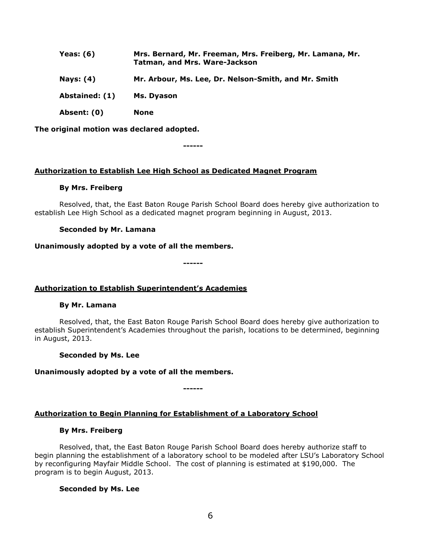| Yeas: $(6)$      | Mrs. Bernard, Mr. Freeman, Mrs. Freiberg, Mr. Lamana, Mr.<br><b>Tatman, and Mrs. Ware-Jackson</b> |
|------------------|---------------------------------------------------------------------------------------------------|
| <b>Nays: (4)</b> | Mr. Arbour, Ms. Lee, Dr. Nelson-Smith, and Mr. Smith                                              |
| Abstained: (1)   | Ms. Dyason                                                                                        |
| Absent: (0)      | None                                                                                              |

**The original motion was declared adopted.**

**Authorization to Establish Lee High School as Dedicated Magnet Program**

**------**

### **By Mrs. Freiberg**

Resolved, that, the East Baton Rouge Parish School Board does hereby give authorization to establish Lee High School as a dedicated magnet program beginning in August, 2013.

### **Seconded by Mr. Lamana**

### **Unanimously adopted by a vote of all the members.**

**------**

## **Authorization to Establish Superintendent's Academies**

#### **By Mr. Lamana**

Resolved, that, the East Baton Rouge Parish School Board does hereby give authorization to establish Superintendent's Academies throughout the parish, locations to be determined, beginning in August, 2013.

#### **Seconded by Ms. Lee**

## **Unanimously adopted by a vote of all the members.**

# **Authorization to Begin Planning for Establishment of a Laboratory School**

**------**

#### **By Mrs. Freiberg**

Resolved, that, the East Baton Rouge Parish School Board does hereby authorize staff to begin planning the establishment of a laboratory school to be modeled after LSU's Laboratory School by reconfiguring Mayfair Middle School. The cost of planning is estimated at \$190,000. The program is to begin August, 2013.

#### **Seconded by Ms. Lee**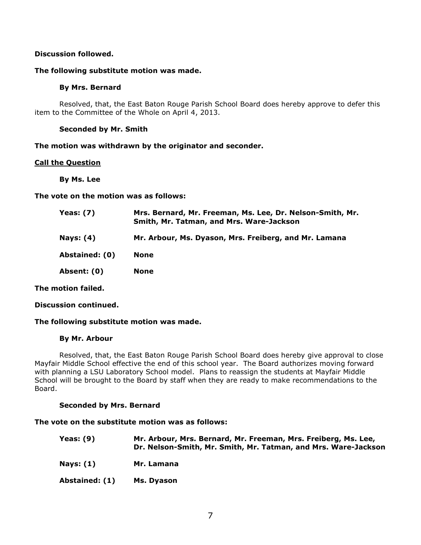# **Discussion followed.**

### **The following substitute motion was made.**

## **By Mrs. Bernard**

Resolved, that, the East Baton Rouge Parish School Board does hereby approve to defer this item to the Committee of the Whole on April 4, 2013.

## **Seconded by Mr. Smith**

**The motion was withdrawn by the originator and seconder.**

### **Call the Question**

**By Ms. Lee**

**The vote on the motion was as follows:**

| Yeas: (7)        | Mrs. Bernard, Mr. Freeman, Ms. Lee, Dr. Nelson-Smith, Mr.<br>Smith, Mr. Tatman, and Mrs. Ware-Jackson |
|------------------|-------------------------------------------------------------------------------------------------------|
| <b>Nays: (4)</b> | Mr. Arbour, Ms. Dyason, Mrs. Freiberg, and Mr. Lamana                                                 |
| Abstained: (0)   | None                                                                                                  |
| Absent: (0)      | None                                                                                                  |
|                  |                                                                                                       |

**The motion failed.**

**Discussion continued.**

## **The following substitute motion was made.**

#### **By Mr. Arbour**

Resolved, that, the East Baton Rouge Parish School Board does hereby give approval to close Mayfair Middle School effective the end of this school year. The Board authorizes moving forward with planning a LSU Laboratory School model. Plans to reassign the students at Mayfair Middle School will be brought to the Board by staff when they are ready to make recommendations to the Board.

## **Seconded by Mrs. Bernard**

### **The vote on the substitute motion was as follows:**

| <b>Yeas: (9)</b> | Mr. Arbour, Mrs. Bernard, Mr. Freeman, Mrs. Freiberg, Ms. Lee,<br>Dr. Nelson-Smith, Mr. Smith, Mr. Tatman, and Mrs. Ware-Jackson |
|------------------|----------------------------------------------------------------------------------------------------------------------------------|
| Nays: (1)        | Mr. Lamana                                                                                                                       |
| Abstained: (1)   | Ms. Dyason                                                                                                                       |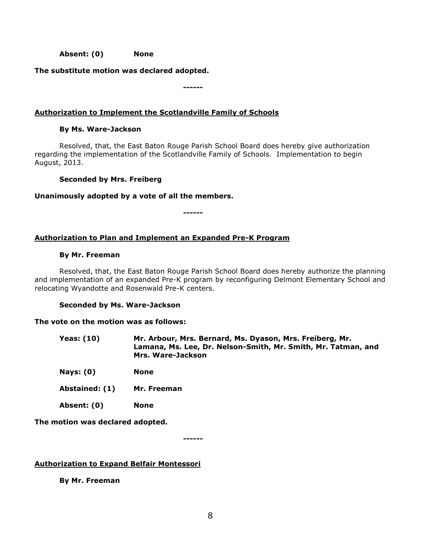**Absent: (0) None**

**The substitute motion was declared adopted.**

**------**

# **Authorization to Implement the Scotlandville Family of Schools**

## **By Ms. Ware-Jackson**

Resolved, that, the East Baton Rouge Parish School Board does hereby give authorization regarding the implementation of the Scotlandville Family of Schools. Implementation to begin August, 2013.

## **Seconded by Mrs. Freiberg**

### **Unanimously adopted by a vote of all the members.**

**------**

# **Authorization to Plan and Implement an Expanded Pre-K Program**

### **By Mr. Freeman**

Resolved, that, the East Baton Rouge Parish School Board does hereby authorize the planning and implementation of an expanded Pre-K program by reconfiguring Delmont Elementary School and relocating Wyandotte and Rosenwald Pre-K centers.

## **Seconded by Ms. Ware-Jackson**

## **The vote on the motion was as follows:**

| Yeas: (10) | Mr. Arbour, Mrs. Bernard, Ms. Dyason, Mrs. Freiberg, Mr.      |
|------------|---------------------------------------------------------------|
|            | Lamana, Ms. Lee, Dr. Nelson-Smith, Mr. Smith, Mr. Tatman, and |
|            | Mrs. Ware-Jackson                                             |

**Nays: (0) None**

- **Abstained: (1) Mr. Freeman**
- **Absent: (0) None**

**The motion was declared adopted.**

**------**

## **Authorization to Expand Belfair Montessori**

**By Mr. Freeman**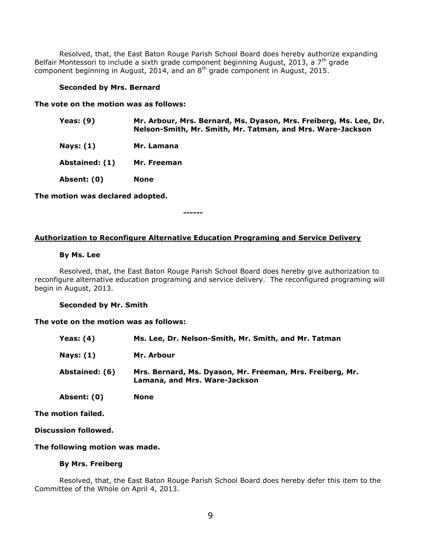Resolved, that, the East Baton Rouge Parish School Board does hereby authorize expanding Belfair Montessori to include a sixth grade component beginning August, 2013, a  $7<sup>th</sup>$  grade component beginning in August, 2014, and an  $8<sup>th</sup>$  grade component in August, 2015.

### **Seconded by Mrs. Bernard**

**The vote on the motion was as follows:**

| Yeas: $(9)$    | Mr. Arbour, Mrs. Bernard, Ms. Dyason, Mrs. Freiberg, Ms. Lee, Dr.<br>Nelson-Smith, Mr. Smith, Mr. Tatman, and Mrs. Ware-Jackson |
|----------------|---------------------------------------------------------------------------------------------------------------------------------|
| Nays: $(1)$    | Mr. Lamana                                                                                                                      |
| Abstained: (1) | Mr. Freeman                                                                                                                     |
| Absent: (0)    | <b>None</b>                                                                                                                     |

**The motion was declared adopted.**

**------**

### **Authorization to Reconfigure Alternative Education Programing and Service Delivery**

#### **By Ms. Lee**

Resolved, that, the East Baton Rouge Parish School Board does hereby give authorization to reconfigure alternative education programing and service delivery. The reconfigured programing will begin in August, 2013.

#### **Seconded by Mr. Smith**

#### **The vote on the motion was as follows:**

| Yeas: $(4)$    | Ms. Lee, Dr. Nelson-Smith, Mr. Smith, and Mr. Tatman                                       |
|----------------|--------------------------------------------------------------------------------------------|
| Nays: $(1)$    | Mr. Arbour                                                                                 |
| Abstained: (6) | Mrs. Bernard, Ms. Dyason, Mr. Freeman, Mrs. Freiberg, Mr.<br>Lamana, and Mrs. Ware-Jackson |
| Absent: (0)    | None                                                                                       |

**The motion failed.**

**Discussion followed.**

### **The following motion was made.**

## **By Mrs. Freiberg**

Resolved, that, the East Baton Rouge Parish School Board does hereby defer this item to the Committee of the Whole on April 4, 2013.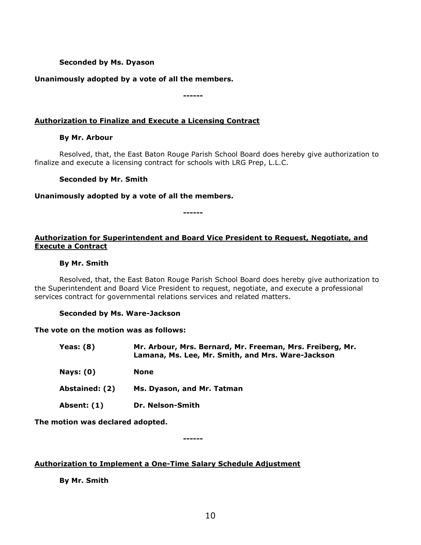# **Seconded by Ms. Dyason**

# **Unanimously adopted by a vote of all the members.**

**------**

# **Authorization to Finalize and Execute a Licensing Contract**

## **By Mr. Arbour**

Resolved, that, the East Baton Rouge Parish School Board does hereby give authorization to finalize and execute a licensing contract for schools with LRG Prep, L.L.C.

## **Seconded by Mr. Smith**

### **Unanimously adopted by a vote of all the members.**

**------**

# **Authorization for Superintendent and Board Vice President to Request, Negotiate, and Execute a Contract**

### **By Mr. Smith**

Resolved, that, the East Baton Rouge Parish School Board does hereby give authorization to the Superintendent and Board Vice President to request, negotiate, and execute a professional services contract for governmental relations services and related matters.

#### **Seconded by Ms. Ware-Jackson**

#### **The vote on the motion was as follows:**

| Yeas: (8)        | Mr. Arbour, Mrs. Bernard, Mr. Freeman, Mrs. Freiberg, Mr.<br>Lamana, Ms. Lee, Mr. Smith, and Mrs. Ware-Jackson |
|------------------|----------------------------------------------------------------------------------------------------------------|
| <b>Nays: (0)</b> | None                                                                                                           |
| Abstained: (2)   | Ms. Dyason, and Mr. Tatman                                                                                     |
| Absent: (1)      | Dr. Nelson-Smith                                                                                               |
|                  |                                                                                                                |

**The motion was declared adopted.**

**------**

## **Authorization to Implement a One-Time Salary Schedule Adjustment**

**By Mr. Smith**